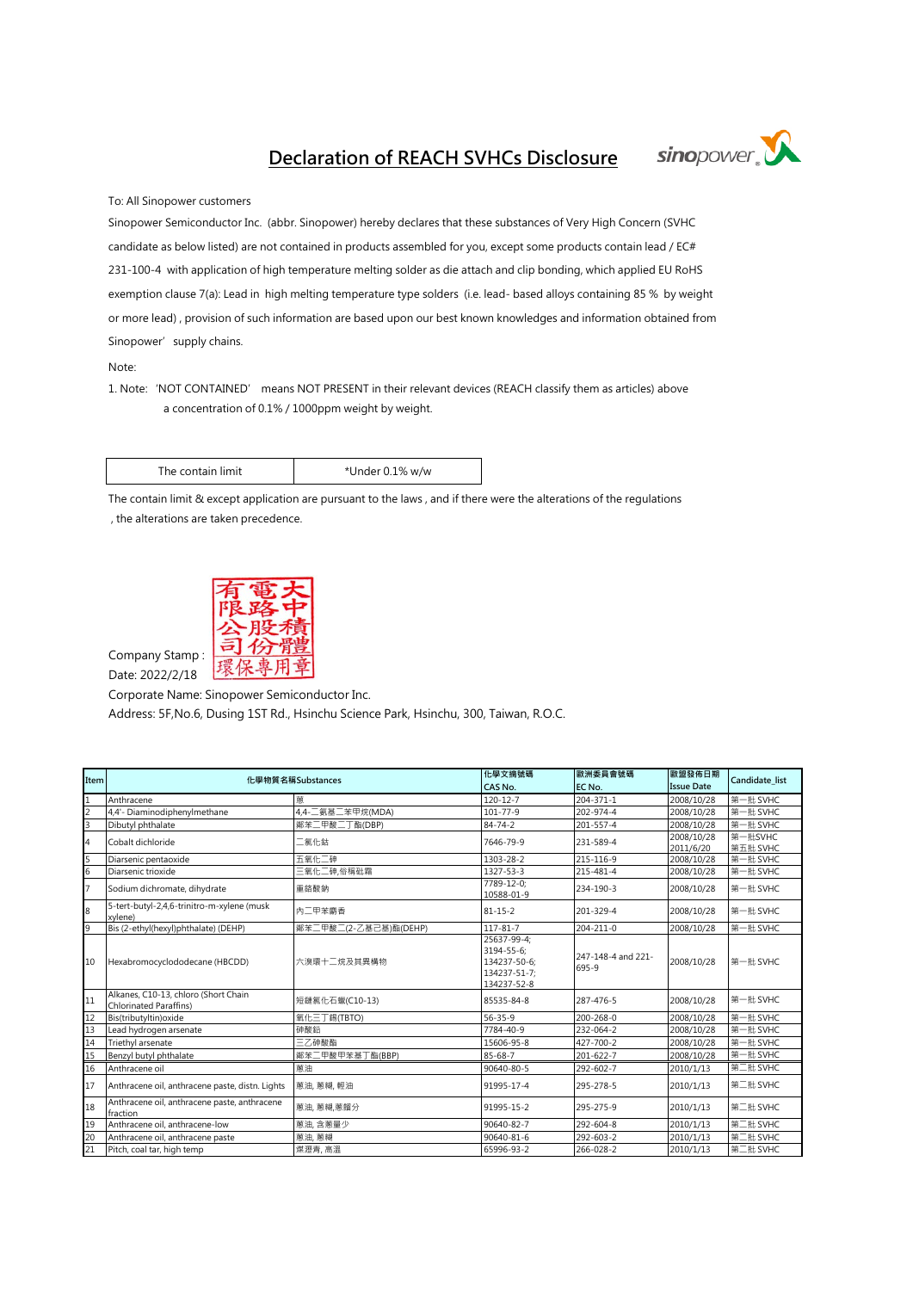## **Declaration of REACH SVHCs Disclosure**



To: All Sinopower customers

candidate as below listed) are not contained in products assembled for you, except some products contain lead / EC# Sinopower' supply chains. Sinopower Semiconductor Inc. (abbr. Sinopower) hereby declares that these substances of Very High Concern (SVHC 231-100-4 with application of high temperature melting solder as die attach and clip bonding, which applied EU RoHS exemption clause 7(a): Lead in high melting temperature type solders (i.e. lead- based alloys containing 85 % by weight or more lead) , provision of such information are based upon our best known knowledges and information obtained from

Note:

Date: 2022/2/18

1. Note:'NOT CONTAINED' means NOT PRESENT in their relevant devices (REACH classify them as articles) above a concentration of 0.1% / 1000ppm weight by weight.

| *Under 0.1% w/w<br>The contain limit |
|--------------------------------------|
|--------------------------------------|

 , the alterations are taken precedence. The contain limit & except application are pursuant to the laws , and if there were the alterations of the regulations



Address: 5F,No.6, Dusing 1ST Rd., Hsinchu Science Park, Hsinchu, 300, Taiwan, R.O.C. Corporate Name: Sinopower Semiconductor Inc.

| Item             |                                                                       | 化學物質名稱Substances      | 化學文摘號碼                                                                   | 歐洲委員會號碼                     | 歐盟發佈日期                  | Candidate list      |
|------------------|-----------------------------------------------------------------------|-----------------------|--------------------------------------------------------------------------|-----------------------------|-------------------------|---------------------|
|                  |                                                                       |                       | CAS No.                                                                  | EC No.                      | <b>Issue Date</b>       |                     |
| $\overline{1}$   | Anthracene                                                            | 蒽                     | $120 - 12 - 7$                                                           | 204-371-1                   | 2008/10/28              | 第一批 SVHC            |
| $\overline{2}$   | 4,4'- Diaminodiphenylmethane                                          | 4,4-二氨基二苯甲烷(MDA)      | 101-77-9                                                                 | 202-974-4                   | 2008/10/28              | 第一批 SVHC            |
| 3                | Dibutyl phthalate                                                     | 鄰苯二甲酸二丁酯(DBP)         | $84 - 74 - 2$                                                            | 201-557-4                   | 2008/10/28              | 第一批 SVHC            |
| 4                | Cobalt dichloride                                                     | 二氯化鈷                  | 7646-79-9                                                                | 231-589-4                   | 2008/10/28<br>2011/6/20 | 第一批SVHC<br>第五批 SVHC |
| 5                | Diarsenic pentaoxide                                                  | 五氧化二砷                 | 1303-28-2                                                                | 215-116-9                   | 2008/10/28              | 第一批 SVHC            |
| $\boldsymbol{6}$ | Diarsenic trioxide                                                    | 三氧化二砷,俗稱砒霜            | 1327-53-3                                                                | 215-481-4                   | 2008/10/28              | 第一批 SVHC            |
| $\overline{7}$   | Sodium dichromate, dihydrate                                          | 重鉻酸鈉                  | 7789-12-0:<br>10588-01-9                                                 | 234-190-3                   | 2008/10/28              | 第一批 SVHC            |
| 8                | 5-tert-butyl-2,4,6-trinitro-m-xylene (musk<br>xvlene)                 | 内二甲苯麝香                | $81 - 15 - 2$                                                            | 201-329-4                   | 2008/10/28              | 第一批 SVHC            |
| 9                | Bis (2-ethyl(hexyl)phthalate) (DEHP)                                  | 鄰苯二甲酸二(2-乙基己基)酯(DEHP) | 117-81-7                                                                 | 204-211-0                   | 2008/10/28              | 第一批 SVHC            |
| 10               | Hexabromocyclododecane (HBCDD)                                        | 六溴環十二烷及其異構物           | 25637-99-4:<br>3194-55-6:<br>134237-50-6:<br>134237-51-7:<br>134237-52-8 | 247-148-4 and 221-<br>695-9 | 2008/10/28              | 第一批 SVHC            |
| 11               | Alkanes, C10-13, chloro (Short Chain<br><b>Chlorinated Paraffins)</b> | 短鏈氯化石蠟(C10-13)        | 85535-84-8                                                               | 287-476-5                   | 2008/10/28              | 第一批 SVHC            |
| 12               | Bis(tributyltin) oxide                                                | 氧化三丁錫(TBTO)           | $56 - 35 - 9$                                                            | 200-268-0                   | 2008/10/28              | 第一批 SVHC            |
| 13               | Lead hydrogen arsenate                                                | 砷酸鉛                   | 7784-40-9                                                                | 232-064-2                   | 2008/10/28              | 第一批 SVHC            |
| 14               | Triethyl arsenate                                                     | 三乙砷酸酯                 | 15606-95-8                                                               | 427-700-2                   | 2008/10/28              | 第一批 SVHC            |
| 15               | Benzyl butyl phthalate                                                | 鄰苯二甲酸甲苯基丁酯(BBP)       | $85 - 68 - 7$                                                            | 201-622-7                   | 2008/10/28              | 第一批 SVHC            |
| 16               | Anthracene oil                                                        | 蔥油                    | 90640-80-5                                                               | 292-602-7                   | 2010/1/13               | 第二批 SVHC            |
| 17               | Anthracene oil, anthracene paste, distn. Lights                       | 蔥油, 蔥糊, 輕油            | 91995-17-4                                                               | 295-278-5                   | 2010/1/13               | 第二批 SVHC            |
| 18               | Anthracene oil, anthracene paste, anthracene<br>fraction              | 蔥油, 蔥糊,蔥餾分            | 91995-15-2                                                               | 295-275-9                   | 2010/1/13               | 第二批 SVHC            |
| 19               | Anthracene oil, anthracene-low                                        | 蔥油,含蔥量少               | 90640-82-7                                                               | 292-604-8                   | 2010/1/13               | 第二批 SVHC            |
| 20               | Anthracene oil, anthracene paste                                      | 蔥油,蔥糊                 | 90640-81-6                                                               | 292-603-2                   | 2010/1/13               | 第二批 SVHC            |
| 21               | Pitch, coal tar, high temp                                            | 煤瀝青, 高溫               | 65996-93-2                                                               | 266-028-2                   | 2010/1/13               | 第二批 SVHC            |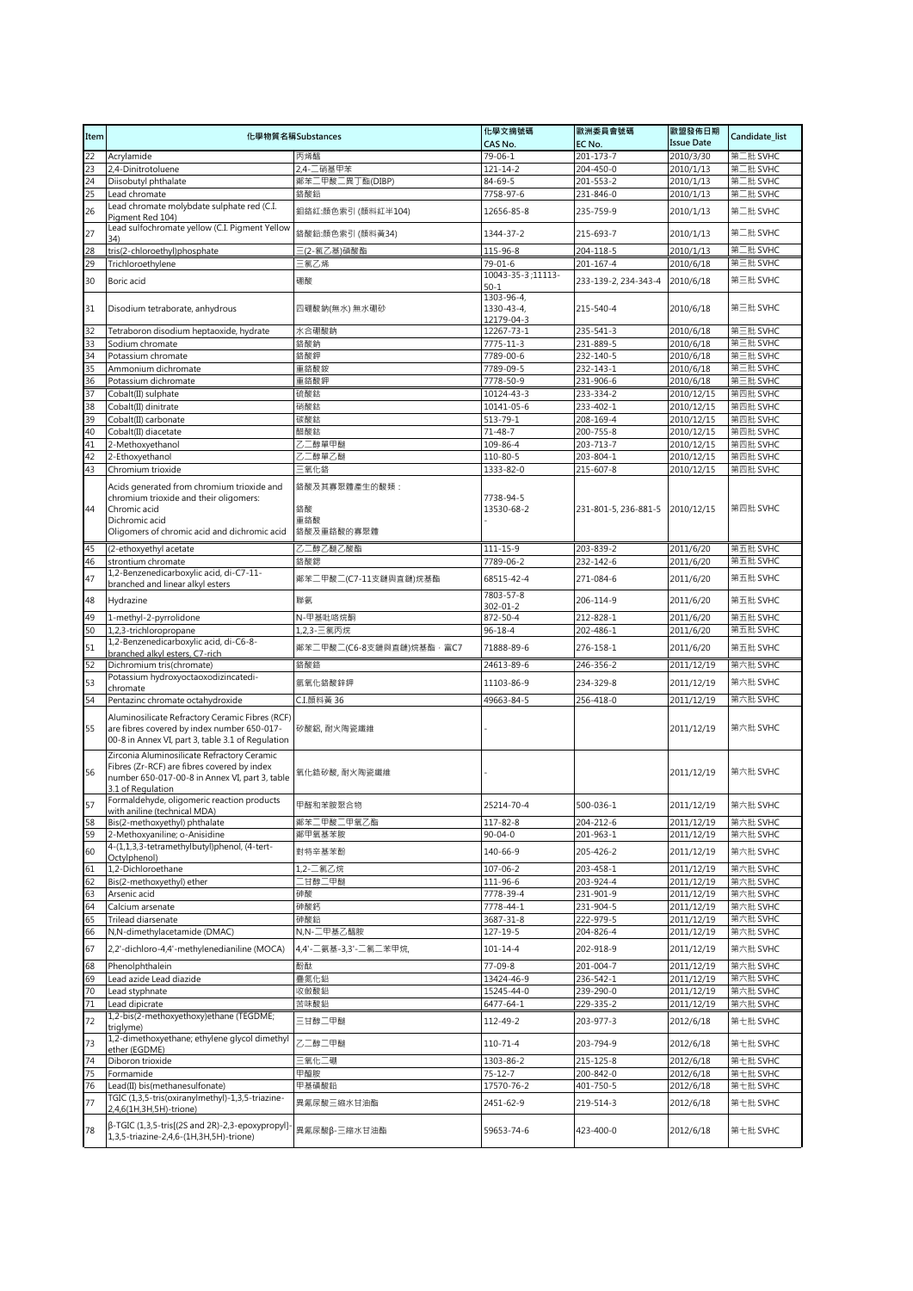| Item     |                                                                                                                                                                        | 化學物質名稱Substances                         | 化學文摘號碼                                 | 歐洲委員會號碼                | 歐盟發佈日期                   | Candidate list       |
|----------|------------------------------------------------------------------------------------------------------------------------------------------------------------------------|------------------------------------------|----------------------------------------|------------------------|--------------------------|----------------------|
|          |                                                                                                                                                                        |                                          | CAS No.                                | EC No.                 | <b>Issue Date</b>        |                      |
| 22       | Acrylamide                                                                                                                                                             | 丙烯醯                                      | 79-06-1                                | 201-173-7              | 2010/3/30                | 第二批 SVHC             |
| 23       | 2,4-Dinitrotoluene                                                                                                                                                     | 2,4-二硝基甲苯                                | 121-14-2                               | 204-450-0              | 2010/1/13                | 第二批 SVHC             |
| 24<br>25 | Diisobutyl phthalate<br>Lead chromate                                                                                                                                  | 鄰苯二甲酸二異丁酯(DIBP)<br>鉻酸鉛                   | 84-69-5<br>7758-97-6                   | 201-553-2<br>231-846-0 | 2010/1/13<br>2010/1/13   | 第二批 SVHC<br>第二批 SVHC |
|          | Lead chromate molybdate sulphate red (C.I.                                                                                                                             |                                          |                                        |                        |                          |                      |
| 26       | Pigment Red 104)<br>Lead sulfochromate yellow (C.I. Pigment Yellow                                                                                                     | 鉬鉻紅:顏色索引 (顏料紅半104)                       | 12656-85-8                             | 235-759-9              | 2010/1/13                | 第二批 SVHC             |
| 27<br>28 | 34)<br>tris(2-chloroethyl)phosphate                                                                                                                                    | 鉻酸鉛:顏色索引 (顏料黃34)<br>三(2-氯乙基)磷酸酯          | 1344-37-2<br>115-96-8                  | 215-693-7<br>204-118-5 | 2010/1/13<br>2010/1/13   | 第二批 SVHC<br>第二批 SVHC |
| 29       | Trichloroethylene                                                                                                                                                      | 三氯乙烯                                     | 79-01-6                                | 201-167-4              | 2010/6/18                | 第三批 SVHC             |
| 30       | Boric acid                                                                                                                                                             | 硼酸                                       | 10043-35-3;11113-<br>$50 - 1$          | 233-139-2, 234-343-4   | 2010/6/18                | 第三批 SVHC             |
| 31       | Disodium tetraborate, anhydrous                                                                                                                                        | 四硼酸鈉(無水) 無水硼砂                            | 1303-96-4,<br>1330-43-4,<br>12179-04-3 | 215-540-4              | 2010/6/18                | 第三批 SVHC             |
| 32       | Tetraboron disodium heptaoxide, hydrate                                                                                                                                | 水合硼酸鈉                                    | 12267-73-1                             | 235-541-3              | 2010/6/18                | 第三批 SVHC             |
| 33       | Sodium chromate                                                                                                                                                        | 鉻酸鈉                                      | 7775-11-3                              | 231-889-5              | 2010/6/18                | 第三批 SVHC             |
| 34       | Potassium chromate                                                                                                                                                     | 鉻酸鉀                                      | 7789-00-6                              | 232-140-5              | 2010/6/18                | 第三批 SVHC             |
| 35       | Ammonium dichromate                                                                                                                                                    | 重鉻酸銨                                     | 7789-09-5                              | 232-143-1              | 2010/6/18                | 第三批 SVHC             |
| 36       | Potassium dichromate                                                                                                                                                   | 重鉻酸鉀                                     | 7778-50-9                              | 231-906-6              | 2010/6/18                | 第三批 SVHC             |
| 37       | Cobalt(II) sulphate                                                                                                                                                    | 硫酸鈷                                      | 10124-43-3                             | 233-334-2              | 2010/12/15               | 第四批 SVHC             |
| 38       | Cobalt(II) dinitrate                                                                                                                                                   | 硝酸鈷<br>碳酸鈷                               | 10141-05-6                             | 233-402-1              | 2010/12/15               | 第四批 SVHC             |
| 39<br>40 | Cobalt(II) carbonate<br>Cobalt(II) diacetate                                                                                                                           | 醋酸鈷                                      | 513-79-1<br>$71 - 48 - 7$              | 208-169-4<br>200-755-8 | 2010/12/15<br>2010/12/15 | 第四批 SVHC<br>第四批 SVHC |
| 41       | 2-Methoxyethanol                                                                                                                                                       | 乙二醇單甲醚                                   | 109-86-4                               | 203-713-7              | 2010/12/15               | 第四批 SVHC             |
| 42       | 2-Ethoxyethanol                                                                                                                                                        | 乙二醇單乙醚                                   | 110-80-5                               | 203-804-1              | 2010/12/15               | 第四批 SVHC             |
| 43       | Chromium trioxide                                                                                                                                                      | 三氧化鉻                                     | 1333-82-0                              | 215-607-8              | 2010/12/15               | 第四批 SVHC             |
| 44       | Acids generated from chromium trioxide and<br>chromium trioxide and their oligomers:<br>Chromic acid<br>Dichromic acid<br>Oligomers of chromic acid and dichromic acid | 鉻酸及其寡聚體產生的酸類:<br>鉻酸<br>重鉻酸<br>鉻酸及重鉻酸的寡聚體 | 7738-94-5<br>13530-68-2                | 231-801-5, 236-881-5   | 2010/12/15               | 第四批 SVHC             |
| 45       | (2-ethoxyethyl acetate                                                                                                                                                 | 乙二醇乙醚乙酸酯                                 | 111-15-9                               | 203-839-2              | 2011/6/20                | 第五批 SVHC             |
| 46       | strontium chromate                                                                                                                                                     | 鉻酸鍶                                      | 7789-06-2                              | 232-142-6              | 2011/6/20                | 第五批 SVHC             |
| 47       | 1,2-Benzenedicarboxylic acid, di-C7-11-<br>branched and linear alkyl esters                                                                                            | 鄰苯二甲酸二(C7-11支鏈與直鏈)烷基酯                    | 68515-42-4                             | 271-084-6              | 2011/6/20                | 第五批 SVHC             |
| 48       | Hydrazine                                                                                                                                                              | 聯氨                                       | 7803-57-8<br>302-01-2                  | 206-114-9              | 2011/6/20                | 第五批 SVHC             |
| 49       | 1-methyl-2-pyrrolidone                                                                                                                                                 | N-甲基吡咯烷酮                                 | 872-50-4                               | 212-828-1              | 2011/6/20                | 第五批 SVHC             |
| 50       | 1,2,3-trichloropropane                                                                                                                                                 | 1,2,3-三氯丙烷                               | $96 - 18 - 4$                          | 202-486-1              | 2011/6/20                | 第五批 SVHC             |
| 51       | 1,2-Benzenedicarboxylic acid, di-C6-8-<br>branched alkyl esters, C7-rich                                                                                               | 鄰苯二甲酸二(C6-8支鏈與直鏈)烷基酯‧富C7                 | 71888-89-6                             | 276-158-1              | 2011/6/20                | 第五批 SVHC             |
| 52       | Dichromium tris(chromate)                                                                                                                                              | 鉻酸鉻                                      | 24613-89-6                             | 246-356-2              | 2011/12/19               | 第六批 SVHC             |
| 53       | Potassium hydroxyoctaoxodizincatedi-                                                                                                                                   | 氫氧化鉻酸鋅鉀                                  | 11103-86-9                             | 234-329-8              | 2011/12/19               | 第六批 SVHC             |
| 54       | chromate<br>Pentazinc chromate octahydroxide                                                                                                                           | C.I. 顏料黃 36                              | 49663-84-5                             | 256-418-0              | 2011/12/19               | 第六批 SVHC             |
| 55       | Aluminosilicate Refractory Ceramic Fibres (RCF)<br>are fibres covered by index number 650-017-<br>00-8 in Annex VI, part 3, table 3.1 of Regulation                    | 矽酸鋁, 耐火陶瓷纖維                              |                                        |                        | 2011/12/19               | 第六批 SVHC             |
| 56       | Zirconia Aluminosilicate Refractory Ceramic<br>Fibres (Zr-RCF) are fibres covered by index<br>number 650-017-00-8 in Annex VI, part 3, table<br>3.1 of Regulation      | 氧化鋯矽酸, 耐火陶瓷纖維                            |                                        |                        | 2011/12/19               | 第六批 SVHC             |
| 57       | Formaldehyde, oligomeric reaction products<br>with aniline (technical MDA)                                                                                             | 甲醛和苯胺聚合物                                 | 25214-70-4                             | 500-036-1              | 2011/12/19               | 第六批 SVHC             |
| 58<br>59 | Bis(2-methoxyethyl) phthalate<br>2-Methoxyaniline; o-Anisidine                                                                                                         | 鄰苯二甲酸二甲氧乙酯<br>鄰甲氧基苯胺                     | $117 - 82 - 8$<br>90-04-0              | 204-212-6<br>201-963-1 | 2011/12/19<br>2011/12/19 | 第六批 SVHC<br>第六批 SVHC |
|          | 4-(1,1,3,3-tetramethylbutyl)phenol, (4-tert-                                                                                                                           |                                          |                                        |                        |                          |                      |
| 60       | Octylphenol)                                                                                                                                                           | 對特辛基苯酚                                   | 140-66-9                               | 205-426-2              | 2011/12/19               | 第六批 SVHC             |
| 61       | 1,2-Dichloroethane                                                                                                                                                     | 1,2-二氯乙烷                                 | 107-06-2                               | 203-458-1              | 2011/12/19               | 第六批 SVHC             |
| 62       | Bis(2-methoxyethyl) ether                                                                                                                                              | 古醇二甲醚                                    | 111-96-6                               | 203-924-4              | 2011/12/19               | 第六批 SVHC             |
| 63       | Arsenic acid                                                                                                                                                           | 砷酸                                       | 7778-39-4                              | 231-901-9              | 2011/12/19               | 第六批 SVHC<br>第六批 SVHC |
| 64       | Calcium arsenate<br>Trilead diarsenate                                                                                                                                 | 砷酸鈣<br>砷酸鉛                               | 7778-44-1                              | 231-904-5<br>222-979-5 | 2011/12/19               | 第六批 SVHC             |
| 65<br>66 | N,N-dimethylacetamide (DMAC)                                                                                                                                           | N,N-二甲基乙醯胺                               | 3687-31-8<br>127-19-5                  | 204-826-4              | 2011/12/19<br>2011/12/19 | 第六批 SVHC             |
| 67       | 2,2'-dichloro-4,4'-methylenedianiline (MOCA)                                                                                                                           | 4,4'-二氨基-3,3'-二氯二苯甲烷,                    | $101 - 14 - 4$                         | 202-918-9              | 2011/12/19               | 第六批 SVHC             |
| 68       | Phenolphthalein                                                                                                                                                        | 酚酞                                       | 77-09-8                                | 201-004-7              | 2011/12/19               | 第六批 SVHC             |
| 69       | Lead azide Lead diazide                                                                                                                                                | 疊氮化鉛                                     | 13424-46-9                             | 236-542-1              | 2011/12/19               | 第六批 SVHC             |
| 70       | Lead styphnate                                                                                                                                                         | 收斂酸鉛                                     | 15245-44-0                             | 239-290-0              | 2011/12/19               | 第六批 SVHC             |
| 71       | Lead dipicrate                                                                                                                                                         | 苦味酸鉛                                     | 6477-64-1                              | 229-335-2              | 2011/12/19               | 第六批 SVHC             |
| 72       | 1,2-bis(2-methoxyethoxy)ethane (TEGDME;<br>triglyme)                                                                                                                   | 三甘醇二甲醚                                   | 112-49-2                               | 203-977-3              | 2012/6/18                | 第七批 SVHC             |
| 73       | 1,2-dimethoxyethane; ethylene glycol dimethyl<br>ether (EGDME)                                                                                                         | 乙二醇二甲醚                                   | 110-71-4                               | 203-794-9              | 2012/6/18                | 第七批 SVHC             |
| 74       | Diboron trioxide                                                                                                                                                       | 三氧化二硼                                    | 1303-86-2                              | 215-125-8              | 2012/6/18                | 第七批 SVHC             |
| 75       | Formamide                                                                                                                                                              | 甲醯胺                                      | $75 - 12 - 7$                          | 200-842-0              | 2012/6/18                | 第七批 SVHC             |
| 76       | Lead(II) bis(methanesulfonate)                                                                                                                                         | 甲基磺酸鉛                                    | 17570-76-2                             | 401-750-5              | 2012/6/18                | 第七批 SVHC             |
| 77       | TGIC (1,3,5-tris(oxiranylmethyl)-1,3,5-triazine-<br>2,4,6(1H,3H,5H)-trione)                                                                                            | 異氰尿酸三縮水甘油酯                               | 2451-62-9                              | 219-514-3              | 2012/6/18                | 第七批 SVHC             |
| 78       | β-TGIC (1,3,5-tris[(2S and 2R)-2,3-epoxypropyl]-<br>1,3,5-triazine-2,4,6-(1H,3H,5H)-trione)                                                                            | 異氰尿酸β-三縮水甘油酯                             | 59653-74-6                             | 423-400-0              | 2012/6/18                | 第七批 SVHC             |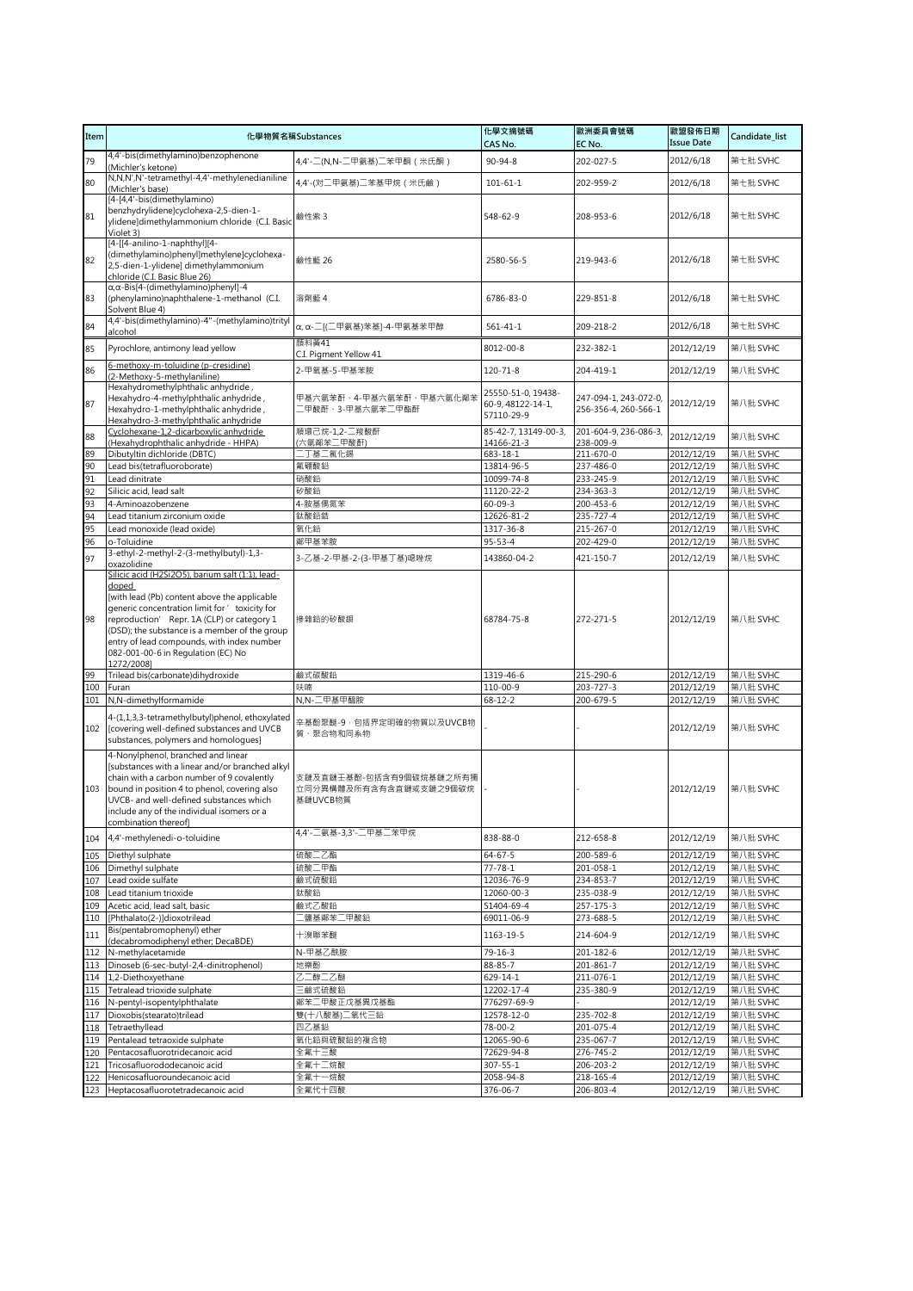| Item      |                                                                                                                                                                                                                                                                                                          | 化學物質名稱Substances                                              | 化學文摘號碼                                                | 歐洲委員會號碼                                       | 歐盟發佈日期                   | Candidate_list       |
|-----------|----------------------------------------------------------------------------------------------------------------------------------------------------------------------------------------------------------------------------------------------------------------------------------------------------------|---------------------------------------------------------------|-------------------------------------------------------|-----------------------------------------------|--------------------------|----------------------|
|           | 4,4'-bis(dimethylamino)benzophenone                                                                                                                                                                                                                                                                      |                                                               | CAS No.                                               | EC No.                                        | <b>Issue Date</b>        |                      |
| 79        | (Michler's ketone)                                                                                                                                                                                                                                                                                       | 4,4'-二(N,N-二甲氨基)二苯甲酮 (米氏酮)                                    | $90 - 94 - 8$                                         | 202-027-5                                     | 2012/6/18                | 第七批 SVHC             |
| 80        | N,N,N',N'-tetramethyl-4,4'-methylenedianiline<br>(Michler's base)                                                                                                                                                                                                                                        | 4,4'-(对二甲氨基)二苯基甲烷 (米氏鹼)                                       | $101 - 61 - 1$                                        | 202-959-2                                     | 2012/6/18                | 第七批 SVHC             |
| 81        | [4-[4,4'-bis(dimethylamino)<br>benzhydrylidene]cyclohexa-2,5-dien-1-<br>ylidene]dimethylammonium chloride (C.I. Basic<br>Violet 3)                                                                                                                                                                       | 鹼性紫3                                                          | 548-62-9                                              | 208-953-6                                     | 2012/6/18                | 第七批 SVHC             |
| 82        | [4-[[4-anilino-1-naphthyl][4-<br>(dimethylamino)phenyl]methylene]cyclohexa-<br>2,5-dien-1-ylidene] dimethylammonium<br>chloride (C.I. Basic Blue 26)                                                                                                                                                     | 鹼性藍 26                                                        | 2580-56-5                                             | 219-943-6                                     | 2012/6/18                | 第七批 SVHC             |
| 83        | α,α-Bis[4-(dimethylamino)phenyl]-4<br>(phenylamino)naphthalene-1-methanol (C.I.<br>Solvent Blue 4)                                                                                                                                                                                                       | 溶劑藍 4                                                         | 6786-83-0                                             | 229-851-8                                     | 2012/6/18                | 第七批 SVHC             |
| 84        | 4,4'-bis(dimethylamino)-4"-(methylamino)trityl<br>alcohol                                                                                                                                                                                                                                                | α, α-二[(二甲氨基)苯基]-4-甲氨基苯甲醇                                     | $561 - 41 - 1$                                        | 209-218-2                                     | 2012/6/18                | 第七批 SVHC             |
| 85        | Pyrochlore, antimony lead yellow                                                                                                                                                                                                                                                                         | 顏料黃41<br>C.I. Pigment Yellow 41                               | 8012-00-8                                             | 232-382-1                                     | 2012/12/19               | 第八批 SVHC             |
| 86        | 6-methoxy-m-toluidine (p-cresidine)<br>(2-Methoxy-5-methylaniline)                                                                                                                                                                                                                                       | 2-甲氧基-5-甲基苯胺                                                  | 120-71-8                                              | 204-419-1                                     | 2012/12/19               | 第八批 SVHC             |
| 87        | Hexahydromethylphthalic anhydride,<br>Hexahydro-4-methylphthalic anhydride,<br>Hexahydro-1-methylphthalic anhydride,<br>Hexahydro-3-methylphthalic anhydride                                                                                                                                             | 甲基六氫苯酐、4-甲基六氫苯酐、甲基六氫化鄰苯<br>二甲酸酐、3-甲基六氫苯二甲酯酐                   | 25550-51-0, 19438-<br>60-9, 48122-14-1,<br>57110-29-9 | 247-094-1, 243-072-0,<br>256-356-4, 260-566-1 | 2012/12/19               | 第八批 SVHC             |
| 88        | Cyclohexane-1,2-dicarboxylic anhydride<br>(Hexahydrophthalic anhydride - HHPA)                                                                                                                                                                                                                           | 順環己烷-1,2-二羧酸酐<br>(六氫鄰苯二甲酸酐)                                   | 85-42-7, 13149-00-3,<br>14166-21-3                    | 201-604-9, 236-086-3,<br>238-009-9            | 2012/12/19               | 第八批 SVHC             |
| 89        | Dibutyltin dichloride (DBTC)                                                                                                                                                                                                                                                                             | 丁基二氯化錫                                                        | 683-18-1                                              | 211-670-0                                     | 2012/12/19               | 第八批 SVHC             |
| 90        | Lead bis(tetrafluoroborate)                                                                                                                                                                                                                                                                              | 氟硼酸鉛                                                          | 13814-96-5                                            | 237-486-0                                     | 2012/12/19               | 第八批 SVHC             |
| 91        | Lead dinitrate                                                                                                                                                                                                                                                                                           | 硝酸鉛                                                           | 10099-74-8                                            | 233-245-9                                     | 2012/12/19               | 第八批 SVHC             |
| 92        | Silicic acid, lead salt                                                                                                                                                                                                                                                                                  | 矽酸鉛                                                           | 11120-22-2                                            | 234-363-3                                     | 2012/12/19               | 第八批 SVHC             |
| 93        | 4-Aminoazobenzene                                                                                                                                                                                                                                                                                        | 4-胺基偶氮苯                                                       | $60 - 09 - 3$                                         | 200-453-6                                     | 2012/12/19               | 第八批 SVHC             |
| 94        | Lead titanium zirconium oxide                                                                                                                                                                                                                                                                            | 鈦酸鉛鋯                                                          | 12626-81-2                                            | 235-727-4                                     | 2012/12/19               | 第八批 SVHC             |
| 95        | Lead monoxide (lead oxide)                                                                                                                                                                                                                                                                               | 氧化鉛                                                           | 1317-36-8                                             | 215-267-0                                     | 2012/12/19               | 第八批 SVHC             |
| 96        | o-Toluidine                                                                                                                                                                                                                                                                                              | 鄰甲基苯胺                                                         | $95 - 53 - 4$                                         | 202-429-0                                     | 2012/12/19               | 第八批 SVHC             |
| 97        | 3-ethyl-2-methyl-2-(3-methylbutyl)-1,3-<br>oxazolidine                                                                                                                                                                                                                                                   | 3-乙基-2-甲基-2-(3-甲基丁基)噁唑烷                                       | 143860-04-2                                           | 421-150-7                                     | 2012/12/19               | 第八批 SVHC             |
| 98        | doped<br>[with lead (Pb) content above the applicable<br>generic concentration limit for ' toxicity for<br>reproduction' Repr. 1A (CLP) or category 1<br>(DSD); the substance is a member of the group<br>entry of lead compounds, with index number<br>082-001-00-6 in Regulation (EC) No<br>1272/20081 | 摻雜鉛的矽酸鋇                                                       | 68784-75-8                                            | 272-271-5                                     | 2012/12/19               | 第八批 SVHC             |
| 99<br>100 | Trilead bis(carbonate)dihydroxide<br>Furan                                                                                                                                                                                                                                                               | 鹼式碳酸鉛<br>呋喃                                                   | 1319-46-6<br>110-00-9                                 | 215-290-6<br>203-727-3                        | 2012/12/19<br>2012/12/19 | 第八批 SVHC<br>第八批 SVHC |
| 101       | N,N-dimethylformamide                                                                                                                                                                                                                                                                                    | N,N-二甲基甲醯胺                                                    | $68 - 12 - 2$                                         | 200-679-5                                     | 2012/12/19               | 第八批 SVHC             |
| 102       | 4-(1,1,3,3-tetramethylbutyl)phenol, ethoxylated<br>[covering well-defined substances and UVCB<br>substances, polymers and homologues]                                                                                                                                                                    | 辛基酚聚醚-9 · 包括界定明確的物質以及UVCB物<br>質、聚合物和同系物                       |                                                       |                                               | 2012/12/19               | 第八批 SVHC             |
| 103       | 4-Nonylphenol, branched and linear<br>[substances with a linear and/or branched alkyl<br>chain with a carbon number of 9 covalently<br>bound in position 4 to phenol, covering also<br>UVCB- and well-defined substances which<br>include any of the individual isomers or a<br>combination thereof]     | 支鏈及直鏈壬基酚-包括含有9個碳烷基鏈之所有獨<br>立同分異構體及所有含有含直鏈或支鏈之9個碳烷<br>基鏈UVCB物質 |                                                       |                                               | 2012/12/19               | 第八批 SVHC             |
|           | 104 4,4'-methylenedi-o-toluidine                                                                                                                                                                                                                                                                         | 4,4'-二氨基-3,3'-二甲基二苯甲烷                                         | 838-88-0                                              | 212-658-8                                     | 2012/12/19               | 第八批 SVHC             |
| 105       | Diethyl sulphate                                                                                                                                                                                                                                                                                         | 硫酸二乙酯                                                         | $64 - 67 - 5$                                         | 200-589-6                                     | 2012/12/19               | 第八批 SVHC             |
| 106       | Dimethyl sulphate                                                                                                                                                                                                                                                                                        | 硫酸二甲酯                                                         | $77 - 78 - 1$                                         | 201-058-1                                     | 2012/12/19               | 第八批 SVHC             |
| 107       | Lead oxide sulfate                                                                                                                                                                                                                                                                                       | 鹼式硫酸鉛                                                         | 12036-76-9                                            | 234-853-7                                     | 2012/12/19               | 第八批 SVHC             |
| 108       | Lead titanium trioxide                                                                                                                                                                                                                                                                                   | 鈦酸鉛                                                           | 12060-00-3                                            | 235-038-9                                     | 2012/12/19               | 第八批 SVHC             |
| 109       | Acetic acid, lead salt, basic                                                                                                                                                                                                                                                                            | 鹼式乙酸鉛                                                         | 51404-69-4                                            | 257-175-3                                     | 2012/12/19               | 第八批 SVHC             |
| 110       | [Phthalato(2-)]dioxotrilead                                                                                                                                                                                                                                                                              | 鹽基鄰苯二甲酸鉛                                                      | 69011-06-9                                            | 273-688-5                                     | 2012/12/19               | 第八批 SVHC             |
| 111       | Bis(pentabromophenyl) ether<br>(decabromodiphenyl ether; DecaBDE)                                                                                                                                                                                                                                        | 十溴聯苯醚                                                         | 1163-19-5                                             | 214-604-9                                     | 2012/12/19               | 第八批 SVHC             |
| 112       | N-methylacetamide                                                                                                                                                                                                                                                                                        | N-甲基乙酰胺                                                       | 79-16-3                                               | 201-182-6                                     | 2012/12/19               | 第八批 SVHC             |
| 113       | Dinoseb (6-sec-butyl-2,4-dinitrophenol)                                                                                                                                                                                                                                                                  | 地樂酚                                                           | 88-85-7                                               | 201-861-7                                     | 2012/12/19               | 第八批 SVHC             |
| 114       | 1,2-Diethoxyethane                                                                                                                                                                                                                                                                                       | 乙二醇二乙醚                                                        | 629-14-1                                              | 211-076-1                                     | 2012/12/19               | 第八批 SVHC             |
| 115       | Tetralead trioxide sulphate                                                                                                                                                                                                                                                                              | 三鹼式硫酸鉛                                                        | 12202-17-4                                            | 235-380-9                                     | 2012/12/19               | 第八批 SVHC             |
| 116       | N-pentyl-isopentylphthalate                                                                                                                                                                                                                                                                              | 鄰苯二甲酸正戊基異戊基酯                                                  | 776297-69-9                                           |                                               | 2012/12/19               | 第八批 SVHC             |
| 117       | Dioxobis(stearato)trilead                                                                                                                                                                                                                                                                                | 雙(十八酸基)二氧代三鉛                                                  | 12578-12-0                                            | 235-702-8                                     | 2012/12/19               | 第八批 SVHC             |
| 118       | Tetraethyllead                                                                                                                                                                                                                                                                                           | 四乙基鉛                                                          | 78-00-2                                               | 201-075-4                                     | 2012/12/19               | 第八批 SVHC             |
| 119       | Pentalead tetraoxide sulphate                                                                                                                                                                                                                                                                            | 氧化鉛與硫酸鉛的複合物                                                   | 12065-90-6                                            | 235-067-7                                     | 2012/12/19               | 第八批 SVHC             |
| 120       | Pentacosafluorotridecanoic acid                                                                                                                                                                                                                                                                          | 全氟十三酸                                                         | 72629-94-8                                            | 276-745-2                                     | 2012/12/19               | 第八批 SVHC             |
| 121       | Tricosafluorododecanoic acid                                                                                                                                                                                                                                                                             | 全氟十二烷酸                                                        | 307-55-1                                              | 206-203-2                                     | 2012/12/19               | 第八批 SVHC             |
|           | 122 Henicosafluoroundecanoic acid                                                                                                                                                                                                                                                                        | 全氟十一烷酸                                                        | 2058-94-8                                             | 218-165-4                                     | 2012/12/19               | 第八批 SVHC             |
|           | 123 Heptacosafluorotetradecanoic acid                                                                                                                                                                                                                                                                    | 全氟代十四酸                                                        | 376-06-7                                              | 206-803-4                                     | 2012/12/19               | 第八批 SVHC             |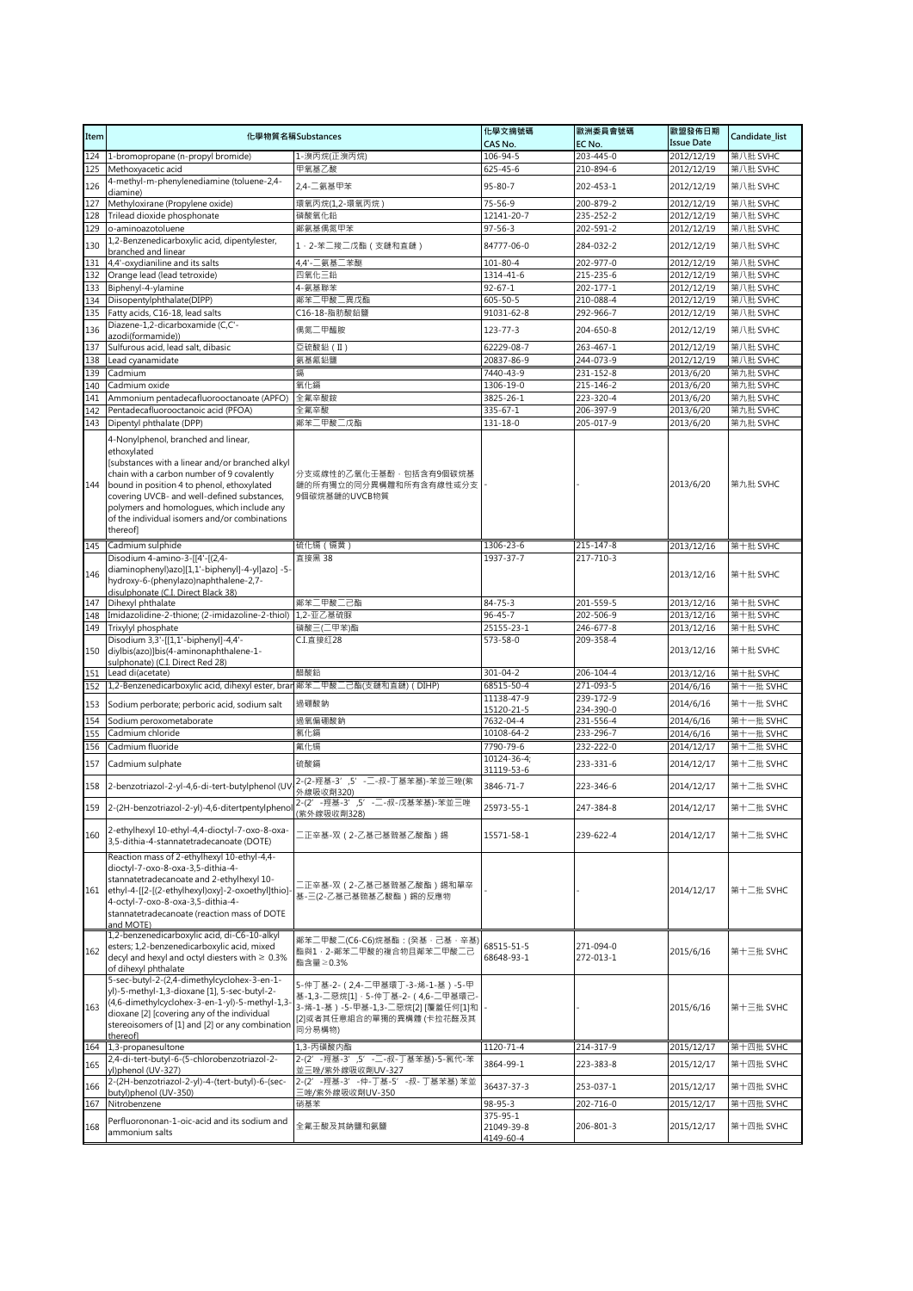| Item       |                                                                                                                                                                                                                                                                                                                                                            | 化學物質名稱Substances                                                                                                                                    | 化學文摘號碼                       | 歐洲委員會號碼                | 歐盟發佈日期                   | Candidate_list       |
|------------|------------------------------------------------------------------------------------------------------------------------------------------------------------------------------------------------------------------------------------------------------------------------------------------------------------------------------------------------------------|-----------------------------------------------------------------------------------------------------------------------------------------------------|------------------------------|------------------------|--------------------------|----------------------|
|            |                                                                                                                                                                                                                                                                                                                                                            |                                                                                                                                                     | CAS No.                      | EC No.                 | <b>Issue Date</b>        |                      |
| 124        | 1-bromopropane (n-propyl bromide)                                                                                                                                                                                                                                                                                                                          | 1-溴丙烷(正溴丙烷)                                                                                                                                         | 106-94-5                     | 203-445-0              | 2012/12/19               | 第八批 SVHC             |
| 125        | Methoxyacetic acid<br>4-methyl-m-phenylenediamine (toluene-2,4-                                                                                                                                                                                                                                                                                            | 甲氧基乙酸                                                                                                                                               | 625-45-6                     | 210-894-6              | 2012/12/19               | 第八批 SVHC             |
| 126        | diamine)                                                                                                                                                                                                                                                                                                                                                   | 2,4-二氨基甲苯                                                                                                                                           | 95-80-7                      | 202-453-1              | 2012/12/19               | 第八批 SVHC             |
| 127        | Methyloxirane (Propylene oxide)                                                                                                                                                                                                                                                                                                                            | 環氧丙烷(1,2-環氧丙烷)                                                                                                                                      | 75-56-9                      | 200-879-2              | 2012/12/19               | 第八批 SVHC             |
| 128<br>L29 | Trilead dioxide phosphonate<br>o-aminoazotoluene                                                                                                                                                                                                                                                                                                           | 磷酸氧化鉛<br>鄰氨基偶氮甲苯                                                                                                                                    | 12141-20-7<br>$97 - 56 - 3$  | 235-252-2<br>202-591-2 | 2012/12/19<br>2012/12/19 | 第八批 SVHC<br>第八批 SVHC |
|            | 1,2-Benzenedicarboxylic acid, dipentylester,                                                                                                                                                                                                                                                                                                               |                                                                                                                                                     |                              |                        |                          |                      |
| 130        | branched and linear                                                                                                                                                                                                                                                                                                                                        | 1 · 2-苯二羧二戊酯 (支鏈和直鏈)                                                                                                                                | 84777-06-0                   | 284-032-2              | 2012/12/19               | 第八批 SVHC             |
| 131<br>132 | 4,4'-oxydianiline and its salts<br>Orange lead (lead tetroxide)                                                                                                                                                                                                                                                                                            | 4,4'-二氨基二苯醚<br>四氧化三鉛                                                                                                                                | 101-80-4<br>1314-41-6        | 202-977-0              | 2012/12/19               | 第八批 SVHC<br>第八批 SVHC |
| 133        | Biphenyl-4-ylamine                                                                                                                                                                                                                                                                                                                                         | 4-氨基聯苯                                                                                                                                              | $92 - 67 - 1$                | 215-235-6<br>202-177-1 | 2012/12/19<br>2012/12/19 | 第八批 SVHC             |
| 134        | Diisopentylphthalate(DIPP)                                                                                                                                                                                                                                                                                                                                 | 鄰苯二甲酸二異戊酯                                                                                                                                           | $605 - 50 - 5$               | 210-088-4              | 2012/12/19               | 第八批 SVHC             |
| 135        | Fatty acids, C16-18, lead salts                                                                                                                                                                                                                                                                                                                            | C16-18-脂肪酸鉛鹽                                                                                                                                        | 91031-62-8                   | 292-966-7              | 2012/12/19               | 第八批 SVHC             |
| 136        | Diazene-1,2-dicarboxamide (C,C'-                                                                                                                                                                                                                                                                                                                           | 偶氮二甲醯胺                                                                                                                                              | 123-77-3                     | 204-650-8              | 2012/12/19               | 第八批 SVHC             |
| 137        | azodi(formamide))<br>Sulfurous acid, lead salt, dibasic                                                                                                                                                                                                                                                                                                    | 亞硫酸鉛(II)                                                                                                                                            | 62229-08-7                   | 263-467-1              | 2012/12/19               | 第八批 SVHC             |
| 138        | Lead cyanamidate                                                                                                                                                                                                                                                                                                                                           | 氨基氟鉛鹽                                                                                                                                               | 20837-86-9                   | 244-073-9              | 2012/12/19               | 第八批 SVHC             |
| 139        | Cadmium                                                                                                                                                                                                                                                                                                                                                    | 鎘                                                                                                                                                   | 7440-43-9                    | 231-152-8              | 2013/6/20                | 第九批 SVHC             |
| 140        | Cadmium oxide                                                                                                                                                                                                                                                                                                                                              | 氧化鎘                                                                                                                                                 | 1306-19-0                    | 215-146-2              | 2013/6/20                | 第九批 SVHC             |
| 141        | Ammonium pentadecafluorooctanoate (APFO)                                                                                                                                                                                                                                                                                                                   | 全氟辛酸銨                                                                                                                                               | 3825-26-1                    | 223-320-4              | 2013/6/20                | 第九批 SVHC             |
| 142<br>143 | Pentadecafluorooctanoic acid (PFOA)<br>Dipentyl phthalate (DPP)                                                                                                                                                                                                                                                                                            | 全氟辛酸<br>鄰苯二甲酸二戊酯                                                                                                                                    | 335-67-1<br>131-18-0         | 206-397-9<br>205-017-9 | 2013/6/20<br>2013/6/20   | 第九批 SVHC<br>第九批 SVHC |
|            |                                                                                                                                                                                                                                                                                                                                                            |                                                                                                                                                     |                              |                        |                          |                      |
| 144        | 4-Nonylphenol, branched and linear,<br>ethoxylated<br>[substances with a linear and/or branched alkyl<br>chain with a carbon number of 9 covalently<br>bound in position 4 to phenol, ethoxylated<br>covering UVCB- and well-defined substances,<br>polymers and homologues, which include any<br>of the individual isomers and/or combinations<br>thereof | 分支或線性的乙氧化壬基酚, 包括含有9個碳烷基<br>鏈的所有獨立的同分異構體和所有含有線性或分支<br>9個碳烷基鏈的UVCB物質                                                                                  |                              |                        | 2013/6/20                | 第九批 SVHC             |
| 145        | Cadmium sulphide                                                                                                                                                                                                                                                                                                                                           | 硫化镉(镉黄)                                                                                                                                             | 1306-23-6                    | 215-147-8              | 2013/12/16               | 第十批 SVHC             |
| 146        | Disodium 4-amino-3-[[4'-[(2,4-<br>diaminophenyl)azo][1,1'-biphenyl]-4-yl]azo] -5-<br>hydroxy-6-(phenylazo)naphthalene-2,7-<br>disulphonate (C.I. Direct Black 38)                                                                                                                                                                                          | 直接黑 38                                                                                                                                              | 1937-37-7                    | 217-710-3              | 2013/12/16               | 第十批 SVHC             |
| 147        | Dihexyl phthalate                                                                                                                                                                                                                                                                                                                                          | 鄰苯二甲酸二己酯                                                                                                                                            | $84 - 75 - 3$                | 201-559-5              | 2013/12/16               | 第十批 SVHC             |
| 148        | Imidazolidine-2-thione; (2-imidazoline-2-thiol)                                                                                                                                                                                                                                                                                                            | 1,2-亚乙基硫脲                                                                                                                                           | $96 - 45 - 7$                | 202-506-9              | 2013/12/16               | 第十批 SVHC             |
| 149        | Trixylyl phosphate<br>Disodium 3,3'-[[1,1'-biphenyl]-4,4'-                                                                                                                                                                                                                                                                                                 | 磷酸三(二甲苯)酯<br>C.I.直接红28                                                                                                                              | 25155-23-1<br>$573 - 58 - 0$ | 246-677-8<br>209-358-4 | 2013/12/16               | 第十批 SVHC             |
| 150        | diylbis(azo)]bis(4-aminonaphthalene-1-<br>sulphonate) (C.I. Direct Red 28)                                                                                                                                                                                                                                                                                 |                                                                                                                                                     |                              |                        | 2013/12/16               | 第十批 SVHC             |
| 151        | Lead di(acetate)                                                                                                                                                                                                                                                                                                                                           | 醋酸鉛                                                                                                                                                 | 301-04-2                     | 206-104-4              | 2013/12/16               | 第十批 SVHC             |
| 152        | 1,2-Benzenedicarboxylic acid, dihexyl ester, brar 鄰苯二甲酸二己酯(支鏈和直鏈) (DIHP)                                                                                                                                                                                                                                                                                   |                                                                                                                                                     | 68515-50-4<br>11138-47-9     | 271-093-5<br>239-172-9 | 2014/6/16                | 第十一批 SVHC            |
| 153        | Sodium perborate; perboric acid, sodium salt                                                                                                                                                                                                                                                                                                               | 過硼酸鈉                                                                                                                                                | 15120-21-5                   | 234-390-0              | 2014/6/16                | 第十一批 SVHC            |
| 154        | Sodium peroxometaborate                                                                                                                                                                                                                                                                                                                                    | 過氧偏硼酸鈉                                                                                                                                              | 7632-04-4                    | 231-556-4              | 2014/6/16                | 第十一批 SVHC            |
| 155        | Cadmium chloride                                                                                                                                                                                                                                                                                                                                           | 氯化鎘                                                                                                                                                 | 10108-64-2                   | 233-296-7              | 2014/6/16                | 第十-<br>-批 SVHC       |
| 156        | Cadmium fluoride                                                                                                                                                                                                                                                                                                                                           | 氟化镉                                                                                                                                                 | 7790-79-6<br>10124-36-4;     | 232-222-0              | 2014/12/17               | 第十二批 SVHC            |
| 157        | Cadmium sulphate                                                                                                                                                                                                                                                                                                                                           | 硫酸鎘                                                                                                                                                 | 31119-53-6                   | 233-331-6              | 2014/12/17               | 第十二批 SVHC            |
| 158        | 2-benzotriazol-2-yl-4,6-di-tert-butylphenol (U\                                                                                                                                                                                                                                                                                                            | 2-(2-羥基-3',5'-二-叔-丁基苯基)-苯並三唑(紫<br>外線吸收劑320)<br>2-(2' -羥基-3' ,5' -二-叔-戊基苯基)-苯並三唑                                                                     | 3846-71-7                    | 223-346-6              | 2014/12/17               | 第十二批 SVHC            |
|            | 159 2-(2H-benzotriazol-2-yl)-4,6-ditertpentylphenol                                                                                                                                                                                                                                                                                                        | <u>(紫外線吸收劑328)</u>                                                                                                                                  | 25973-55-1                   | 247-384-8              | 2014/12/17               | 第十二批 SVHC            |
| 160        | 2-ethylhexyl 10-ethyl-4,4-dioctyl-7-oxo-8-oxa-<br>3,5-dithia-4-stannatetradecanoate (DOTE)                                                                                                                                                                                                                                                                 | 二正辛基-双(2-乙基己基巰基乙酸酯)錫                                                                                                                                | 15571-58-1                   | 239-622-4              | 2014/12/17               | 第十二批 SVHC            |
| 161        | Reaction mass of 2-ethylhexyl 10-ethyl-4,4-<br>dioctyl-7-oxo-8-oxa-3,5-dithia-4-<br>stannatetradecanoate and 2-ethylhexyl 10-<br>ethyl-4-[[2-[(2-ethylhexyl)oxy]-2-oxoethyl]thio]-<br>4-octyl-7-oxo-8-oxa-3,5-dithia-4-<br>stannatetradecanoate (reaction mass of DOTE<br>and MOTE)                                                                        | 二正辛基-双(2-乙基己基巰基乙酸酯)錫和單辛<br>基-三(2-乙基己基巰基乙酸酯)錫的反應物                                                                                                    |                              |                        | 2014/12/17               | 第十二批 SVHC            |
| 162        | 1,2-benzenedicarboxylic acid, di-C6-10-alkyl<br>esters; 1,2-benzenedicarboxylic acid, mixed<br>decyl and hexyl and octyl diesters with ≥ 0.3%<br>of dihexyl phthalate                                                                                                                                                                                      | 鄰苯二甲酸二(C6-C6)烷基酯:(癸基·己基·辛基)<br>酯與1·2-鄰苯二甲酸的複合物且鄰苯二甲酸二己<br>酯含量≥0.3%                                                                                  | 68515-51-5<br>68648-93-1     | 271-094-0<br>272-013-1 | 2015/6/16                | 第十三批 SVHC            |
| 163        | 5-sec-butyl-2-(2,4-dimethylcyclohex-3-en-1-<br>yl)-5-methyl-1,3-dioxane [1], 5-sec-butyl-2-<br>(4,6-dimethylcyclohex-3-en-1-yl)-5-methyl-1,3<br>dioxane [2] [covering any of the individual<br>stereoisomers of [1] and [2] or any combination<br>thereof                                                                                                  | 5-仲丁基-2- (2,4-二甲基環丁-3-烯-1-基)-5-甲<br>基-1,3-二惡烷[1],5-仲丁基-2- ( 4,6-二甲基環己-<br>3-烯-1-基)-5-甲基-1,3-二惡烷[2] [覆蓋任何[1]和<br>[2]或者其任意組合的單獨的異構體 (卡拉花醛及其<br>同分易構物) |                              |                        | 2015/6/16                | 第十三批 SVHC            |
| 164        | 1,3-propanesultone                                                                                                                                                                                                                                                                                                                                         | 1,3-丙磺酸内酯                                                                                                                                           | 1120-71-4                    | 214-317-9              | 2015/12/17               | 第十四批 SVHC            |
| 165        | 2,4-di-tert-butyl-6-(5-chlorobenzotriazol-2-<br>vl)phenol (UV-327)                                                                                                                                                                                                                                                                                         | 2-(2′ -羥基-3′,5′ -二-叔-丁基苯基)-5-氯代-苯<br>並三唑/紫外線吸收劑UV-327                                                                                               | 3864-99-1                    | 223-383-8              | 2015/12/17               | 第十四批 SVHC            |
| 166        | 2-(2H-benzotriazol-2-yl)-4-(tert-butyl)-6-(sec-                                                                                                                                                                                                                                                                                                            | 2-(2' -羥基-3' -仲-丁基-5' -叔- 丁基苯基)苯並                                                                                                                   | 36437-37-3                   | 253-037-1              | 2015/12/17               | 第十四批 SVHC            |
|            | butyl)phenol (UV-350)                                                                                                                                                                                                                                                                                                                                      | 三唑/紫外線吸收劑UV-350                                                                                                                                     |                              |                        |                          |                      |
| 167        | Nitrobenzene                                                                                                                                                                                                                                                                                                                                               | 硝基苯                                                                                                                                                 | 98-95-3<br>375-95-1          | 202-716-0              | 2015/12/17               | 第十四批 SVHC            |
| 168        | Perfluorononan-1-oic-acid and its sodium and<br>ammonium salts                                                                                                                                                                                                                                                                                             | 全氟壬酸及其鈉鹽和氨鹽                                                                                                                                         | 21049-39-8<br>4149-60-4      | 206-801-3              | 2015/12/17               | 第十四批 SVHC            |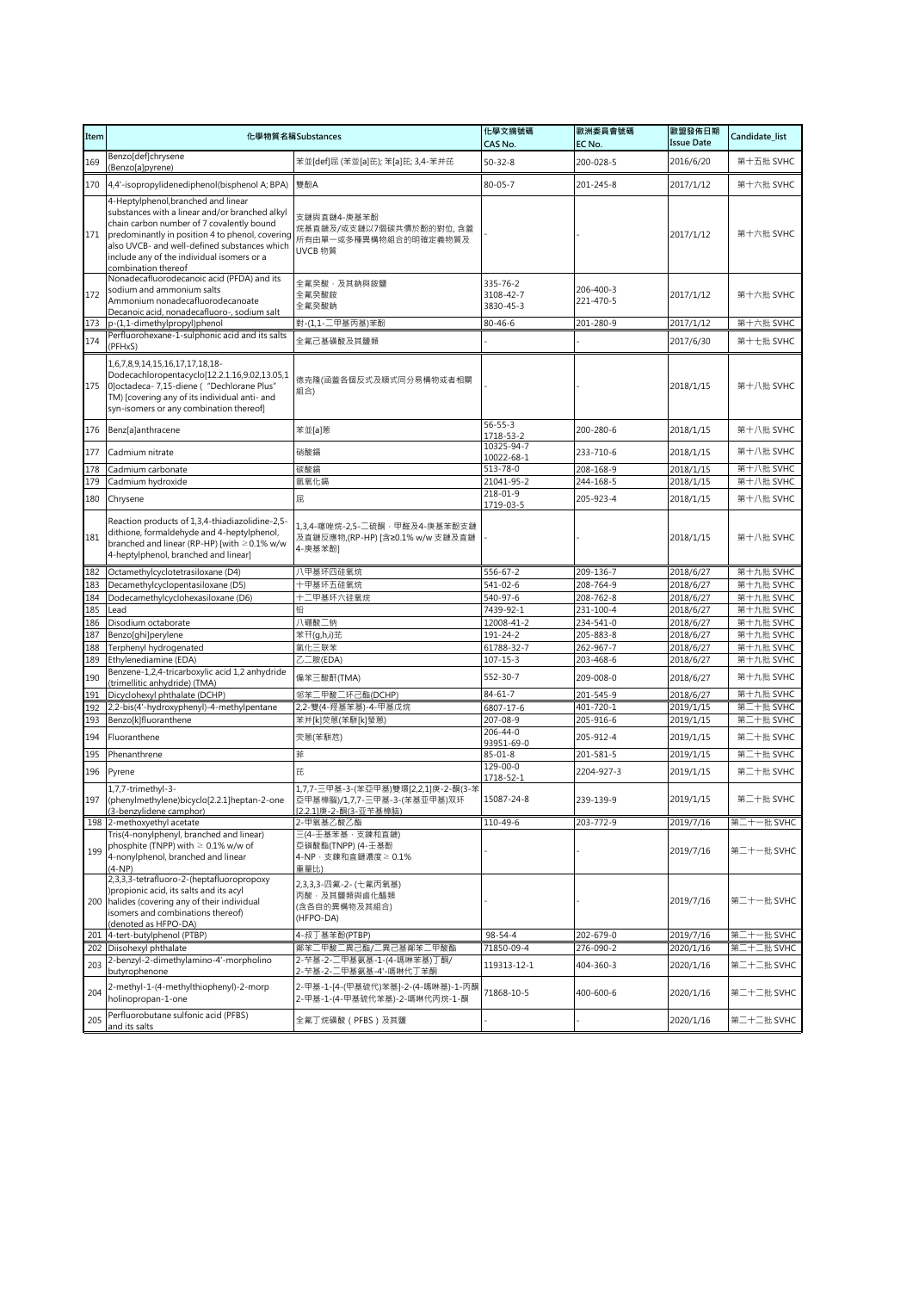| Item       |                                                                                                                                                                                                                                                                                                            | 化學物質名稱Substances                                                                            | 化學文摘號碼<br>CAS No.                  | 歐洲委員會號碼<br>EC No.      | 歐盟發佈日期<br><b>Issue Date</b> | Candidate_list           |
|------------|------------------------------------------------------------------------------------------------------------------------------------------------------------------------------------------------------------------------------------------------------------------------------------------------------------|---------------------------------------------------------------------------------------------|------------------------------------|------------------------|-----------------------------|--------------------------|
| 169        | Benzo[def]chrysene<br>(Benzo[a]pyrene)                                                                                                                                                                                                                                                                     | 苯並[def]屈 (苯並[a]芘); 苯[a]芘; 3,4-苯并芘                                                           | $50 - 32 - 8$                      | 200-028-5              | 2016/6/20                   | 第十五批 SVHC                |
| 170        | 4,4'-isopropylidenediphenol(bisphenol A; BPA)                                                                                                                                                                                                                                                              | 雙酚A                                                                                         | $80 - 05 - 7$                      | 201-245-8              | 2017/1/12                   | 第十六批 SVHC                |
| 171        | 4-Heptylphenol, branched and linear<br>substances with a linear and/or branched alkyl<br>chain carbon number of 7 covalently bound<br>predominantly in position 4 to phenol, covering<br>also UVCB- and well-defined substances which<br>include any of the individual isomers or a<br>combination thereof | 支鏈與直鏈4-庚基苯酚<br>烷基直鏈及/或支鏈以7個碳共價於酚的對位,含蓋<br>所有由單一或多種異構物組合的明確定義物質及<br>UVCB 物質                  |                                    |                        | 2017/1/12                   | 第十六批 SVHC                |
| 172        | Nonadecafluorodecanoic acid (PFDA) and its<br>sodium and ammonium salts<br>Ammonium nonadecafluorodecanoate<br>Decanoic acid, nonadecafluoro-, sodium salt                                                                                                                                                 | 全氟癸酸,及其鈉與銨鹽<br>全氟癸酸銨<br>全氟癸酸鈉                                                               | 335-76-2<br>3108-42-7<br>3830-45-3 | 206-400-3<br>221-470-5 | 2017/1/12                   | 第十六批 SVHC                |
| 173        | p-(1,1-dimethylpropyl)phenol                                                                                                                                                                                                                                                                               | 對-(1,1-二甲基丙基)苯酚                                                                             | $80 - 46 - 6$                      | 201-280-9              | 2017/1/12                   | 第十六批 SVHC                |
| 174        | Perfluorohexane-1-sulphonic acid and its salts<br>(PFHxS)                                                                                                                                                                                                                                                  | 全氟己基磺酸及其鹽類                                                                                  |                                    |                        | 2017/6/30                   | 第十七批 SVHC                |
| 175        | 1,6,7,8,9,14,15,16,17,17,18,18-<br>Dodecachloropentacyclo[12.2.1.16,9.02,13.05,1<br>0]octadeca-7,15-diene ( "Dechlorane Plus"<br>TM) [covering any of its individual anti- and<br>syn-isomers or any combination thereof]                                                                                  | 德克隆(涵蓋各個反式及順式同分易構物或者相關<br>組合)                                                               |                                    |                        | 2018/1/15                   | 第十八批 SVHC                |
| 176        | Benz[a]anthracene                                                                                                                                                                                                                                                                                          | 苯並[a]蒽                                                                                      | $56 - 55 - 3$<br>1718-53-2         | 200-280-6              | 2018/1/15                   | 第十八批 SVHC                |
| 177        | Cadmium nitrate                                                                                                                                                                                                                                                                                            | 硝酸鎘                                                                                         | 10325-94-7<br>10022-68-1           | 233-710-6              | 2018/1/15                   | 第十八批 SVHC                |
| 178        | Cadmium carbonate                                                                                                                                                                                                                                                                                          | 碳酸鎘                                                                                         | 513-78-0                           | 208-168-9              | 2018/1/15                   | 第十八批 SVHC                |
| 179        | Cadmium hydroxide                                                                                                                                                                                                                                                                                          | 氫氧化鎘                                                                                        | 21041-95-2                         | 244-168-5              | 2018/1/15                   | 第十八批 SVHC                |
| 180        | Chrysene                                                                                                                                                                                                                                                                                                   | 屈                                                                                           | 218-01-9<br>1719-03-5              | 205-923-4              | 2018/1/15                   | 第十八批 SVHC                |
| 181        | Reaction products of 1,3,4-thiadiazolidine-2,5-<br>dithione, formaldehyde and 4-heptylphenol,<br>branched and linear (RP-HP) [with ≥0.1% w/w<br>4-heptylphenol, branched and linear]                                                                                                                       | 1,3,4-噻唑烷-2,5-二硫酮·甲醛及4-庚基苯酚支鏈<br>及直鏈反應物,(RP-HP) [含≥0.1% w/w 支鏈及直鏈<br>4-庚基苯酚]                |                                    |                        | 2018/1/15                   | 第十八批 SVHC                |
| 182        | Octamethylcyclotetrasiloxane (D4)                                                                                                                                                                                                                                                                          | 八甲基环四硅氧烷                                                                                    | 556-67-2                           | 209-136-7              | 2018/6/27                   | 第十九批 SVHC                |
| 183        | Decamethylcyclopentasiloxane (D5)                                                                                                                                                                                                                                                                          | 十甲基环五硅氧烷                                                                                    | 541-02-6                           | 208-764-9              | 2018/6/27                   | 第十九批 SVHC                |
| 184<br>185 | Dodecamethylcyclohexasiloxane (D6)<br>Lead                                                                                                                                                                                                                                                                 | 十二甲基环六硅氧烷<br>铅                                                                              | 540-97-6<br>7439-92-1              | 208-762-8<br>231-100-4 | 2018/6/27<br>2018/6/27      | 第十九批 SVHC<br>第十九批 SVHC   |
| 186        | Disodium octaborate                                                                                                                                                                                                                                                                                        | 八硼酸二钠                                                                                       | 12008-41-2                         | 234-541-0              | 2018/6/27                   | 第十九批 SVHC                |
| 187        | Benzo[qhi]perylene                                                                                                                                                                                                                                                                                         | 苯幵(g,h,i) 苝                                                                                 | 191-24-2                           | 205-883-8              | 2018/6/27                   | 第十九批 SVHC                |
| 188        | Terphenyl hydrogenated                                                                                                                                                                                                                                                                                     | 氢化三联苯                                                                                       | 61788-32-7                         | 262-967-7              | 2018/6/27                   | 第十九批 SVHC                |
| 189        | Ethylenediamine (EDA)                                                                                                                                                                                                                                                                                      | 乙二胺(EDA)                                                                                    | $107 - 15 - 3$                     | 203-468-6              | 2018/6/27                   | 第十九批 SVHC                |
| 190        | Benzene-1,2,4-tricarboxylic acid 1,2 anhydride<br>(trimellitic anhydride) (TMA)                                                                                                                                                                                                                            | 偏苯三酸酐(TMA)                                                                                  | 552-30-7                           | 209-008-0              | 2018/6/27                   | 第十九批 SVHC                |
| 191        | Dicyclohexyl phthalate (DCHP)                                                                                                                                                                                                                                                                              | 邻苯二甲酸二环己酯(DCHP)                                                                             | $84 - 61 - 7$                      | 201-545-9              | 2018/6/27                   | 第十九批 SVHC                |
| 192        | 2,2-bis(4'-hydroxyphenyl)-4-methylpentane                                                                                                                                                                                                                                                                  | 2,2-雙(4-羥基苯基)-4-甲基戊烷                                                                        | 6807-17-6                          | 401-720-1              | 2019/1/15                   | 第二十批 SVHC                |
| 193        | Benzo[k]fluoranthene                                                                                                                                                                                                                                                                                       | 苯并[k]荧蒽(苯駢[k]螢蒽)                                                                            | 207-08-9<br>206-44-0               | 205-916-6              | 2019/1/15                   | 第二十批 SVHC                |
| 194        | Fluoranthene                                                                                                                                                                                                                                                                                               | 荧蒽(苯駢苊)                                                                                     | 93951-69-0                         | 205-912-4              | 2019/1/15                   | 第二十批 SVHC                |
| 195        | Phenanthrene                                                                                                                                                                                                                                                                                               | 菲                                                                                           | $85 - 01 - 8$                      | 201-581-5              | 2019/1/15                   | 第二十批 SVHC                |
| 196        | Pyrene                                                                                                                                                                                                                                                                                                     | 芘                                                                                           | 129-00-0<br>1718-52-1              | 2204-927-3             | 2019/1/15                   | 第二十批 SVHC                |
| 197        | 1,7,7-trimethyl-3-<br>(phenylmethylene)bicyclo[2.2.1]heptan-2-one<br>(3-henzylidene camphor)                                                                                                                                                                                                               | 1,7,7-三甲基-3-(苯亞甲基)雙環[2,2,1]庚-2-酮(3-苯<br>亞甲基樟腦)/1,7,7-三甲基-3-(苯基亚甲基)双环<br>[2211序-2-酮(3-亚苄基樟脑) | 15087-24-8                         | 239-139-9              | 2019/1/15                   | 第二十批 SVHC                |
|            | 198 2-methoxyethyl acetate                                                                                                                                                                                                                                                                                 | 2-甲氧基乙酸乙酯                                                                                   | 110-49-6                           | 203-772-9              | 2019/7/16                   | 第二十一批 SVHC               |
| 199        | Tris(4-nonylphenyl, branched and linear)<br>phosphite (TNPP) with $\geq 0.1\%$ w/w of<br>4-nonylphenol, branched and linear<br>$(4-NP)$                                                                                                                                                                    | 三(4-壬基苯基·支鍊和直鏈)<br>亞磷酸酯(TNPP) (4-壬基酚<br>4-NP · 支鍊和直鏈濃度≥ 0.1%<br>重量比)                        |                                    |                        | 2019/7/16                   | 第二十一批 SVHC               |
| 200        | 2,3,3,3-tetrafluoro-2-(heptafluoropropoxy<br>propionic acid, its salts and its acyl<br>halides (covering any of their individual<br>isomers and combinations thereof)<br>(denoted as HFPO-DA)                                                                                                              | 2,3,3,3-四氟-2- (七氟丙氧基)<br>丙酸‧及其鹽類與鹵化醯類<br>(含各自的異構物及其組合)<br>(HFPO-DA)                         |                                    |                        | 2019/7/16                   | 第二十一批 SVHC               |
| 201        | 4-tert-butylphenol (PTBP)<br>Diisohexyl phthalate                                                                                                                                                                                                                                                          | 4-叔丁基苯酚(PTBP)                                                                               | 98-54-4                            | 202-679-0              | 2019/7/16                   | 第二十一批 SVHC<br>第二十二批 SVHC |
| 202        | 2-benzyl-2-dimethylamino-4'-morpholino                                                                                                                                                                                                                                                                     | 鄰苯二甲酸二異己酯/二異己基鄰苯二甲酸酯<br>2-苄基-2-二甲基氨基-1-(4-嗎啉苯基)丁酮/                                          | 71850-09-4                         | 276-090-2              | 2020/1/16                   |                          |
| 203        | butyrophenone                                                                                                                                                                                                                                                                                              | 2-苄基-2-二甲基氨基-4'-嗎啉代丁苯酮                                                                      | 119313-12-1                        | 404-360-3              | 2020/1/16                   | 第二十二批 SVHC               |
| 204        | 2-methyl-1-(4-methylthiophenyl)-2-morp<br>holinopropan-1-one                                                                                                                                                                                                                                               | 2-甲基-1-[4-(甲基硫代)苯基]-2-(4-嗎啉基)-1-丙酮<br>2-甲基-1-(4-甲基硫代苯基)-2-嗎啉代丙烷-1-酮                         | 71868-10-5                         | 400-600-6              | 2020/1/16                   | 第二十二批 SVHC               |
| 205        | Perfluorobutane sulfonic acid (PFBS)<br>and its salts                                                                                                                                                                                                                                                      | 全氟丁烷磺酸(PFBS)及其鹽                                                                             |                                    |                        | 2020/1/16                   | 第二十二批 SVHC               |